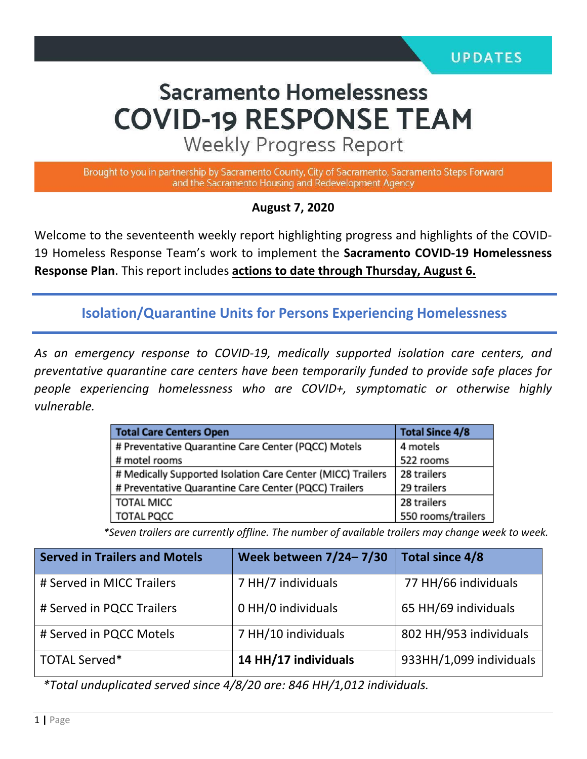# **Sacramento Homelessness COVID-19 RESPONSE TEAM**

**Weekly Progress Report** 

Brought to you in partnership by Sacramento County, City of Sacramento, Sacramento Steps Forward and the Sacramento Housing and Redevelopment Agency

#### **August 7, 2020**

Welcome to the seventeenth weekly report highlighting progress and highlights of the COVID-19 Homeless Response Team's work to implement the **Sacramento COVID-19 Homelessness Response Plan**. This report includes **actions to date through Thursday, August 6.** 

**Isolation/Quarantine Units for Persons Experiencing Homelessness**

*As an emergency response to COVID-19, medically supported isolation care centers, and preventative quarantine care centers have been temporarily funded to provide safe places for people experiencing homelessness who are COVID+, symptomatic or otherwise highly vulnerable.*

| <b>Total Care Centers Open</b>                              | <b>Total Since 4/8</b> |  |
|-------------------------------------------------------------|------------------------|--|
| # Preventative Quarantine Care Center (PQCC) Motels         | 4 motels               |  |
| # motel rooms                                               | 522 rooms              |  |
| # Medically Supported Isolation Care Center (MICC) Trailers | 28 trailers            |  |
| # Preventative Quarantine Care Center (PQCC) Trailers       | 29 trailers            |  |
| <b>TOTAL MICC</b>                                           | 28 trailers            |  |
| <b>TOTAL PQCC</b>                                           | 550 rooms/trailers     |  |

*\*Seven trailers are currently offline. The number of available trailers may change week to week.*

| <b>Served in Trailers and Motels</b> | Week between 7/24-7/30 | Total since 4/8         |
|--------------------------------------|------------------------|-------------------------|
| # Served in MICC Trailers            | 7 HH/7 individuals     | 77 HH/66 individuals    |
| # Served in PQCC Trailers            | 0 HH/0 individuals     | 65 HH/69 individuals    |
| # Served in PQCC Motels              | 7 HH/10 individuals    | 802 HH/953 individuals  |
| TOTAL Served*                        | 14 HH/17 individuals   | 933HH/1,099 individuals |

*\*Total unduplicated served since 4/8/20 are: 846 HH/1,012 individuals.*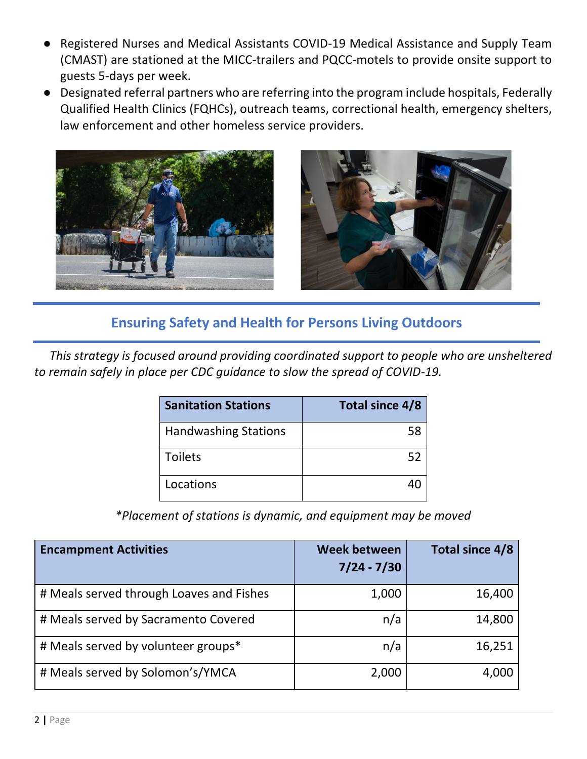- Registered Nurses and Medical Assistants COVID-19 Medical Assistance and Supply Team (CMAST) are stationed at the MICC-trailers and PQCC-motels to provide onsite support to guests 5-days per week.
- Designated referral partners who are referring into the program include hospitals, Federally Qualified Health Clinics (FQHCs), outreach teams, correctional health, emergency shelters, law enforcement and other homeless service providers.



#### **Ensuring Safety and Health for Persons Living Outdoors**

 *This strategy is focused around providing coordinated support to people who are unsheltered to remain safely in place per CDC guidance to slow the spread of COVID-19.*

| <b>Sanitation Stations</b>  | Total since 4/8 |
|-----------------------------|-----------------|
| <b>Handwashing Stations</b> | 58              |
| <b>Toilets</b>              | 52              |
| Locations                   |                 |

*\*Placement of stations is dynamic, and equipment may be moved*

| <b>Encampment Activities</b>             | <b>Week between</b><br>$7/24 - 7/30$ | Total since 4/8 |
|------------------------------------------|--------------------------------------|-----------------|
| # Meals served through Loaves and Fishes | 1,000                                | 16,400          |
| # Meals served by Sacramento Covered     | n/a                                  | 14,800          |
| # Meals served by volunteer groups*      | n/a                                  | 16,251          |
| # Meals served by Solomon's/YMCA         | 2,000                                | 4,000           |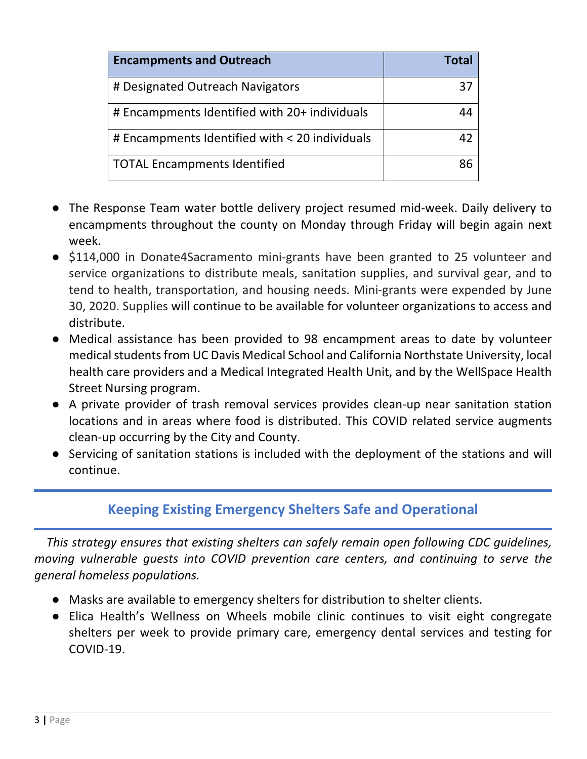| <b>Encampments and Outreach</b>                | Total |
|------------------------------------------------|-------|
| # Designated Outreach Navigators               | 37    |
| # Encampments Identified with 20+ individuals  | 44    |
| # Encampments Identified with < 20 individuals | 42    |
| <b>TOTAL Encampments Identified</b>            | ጸና    |

- The Response Team water bottle delivery project resumed mid-week. Daily delivery to encampments throughout the county on Monday through Friday will begin again next week.
- \$114,000 in Donate4Sacramento mini-grants have been granted to 25 volunteer and service organizations to distribute meals, sanitation supplies, and survival gear, and to tend to health, transportation, and housing needs. Mini-grants were expended by June 30, 2020. Supplies will continue to be available for volunteer organizations to access and distribute.
- Medical assistance has been provided to 98 encampment areas to date by volunteer medical students from UC Davis Medical School and California Northstate University, local health care providers and a Medical Integrated Health Unit, and by the WellSpace Health Street Nursing program.
- A private provider of trash removal services provides clean-up near sanitation station locations and in areas where food is distributed. This COVID related service augments clean-up occurring by the City and County.
- Servicing of sanitation stations is included with the deployment of the stations and will continue.

# **Keeping Existing Emergency Shelters Safe and Operational**

 *This strategy ensures that existing shelters can safely remain open following CDC guidelines, moving vulnerable guests into COVID prevention care centers, and continuing to serve the general homeless populations.* 

- Masks are available to emergency shelters for distribution to shelter clients.
- Elica Health's Wellness on Wheels mobile clinic continues to visit eight congregate shelters per week to provide primary care, emergency dental services and testing for COVID-19.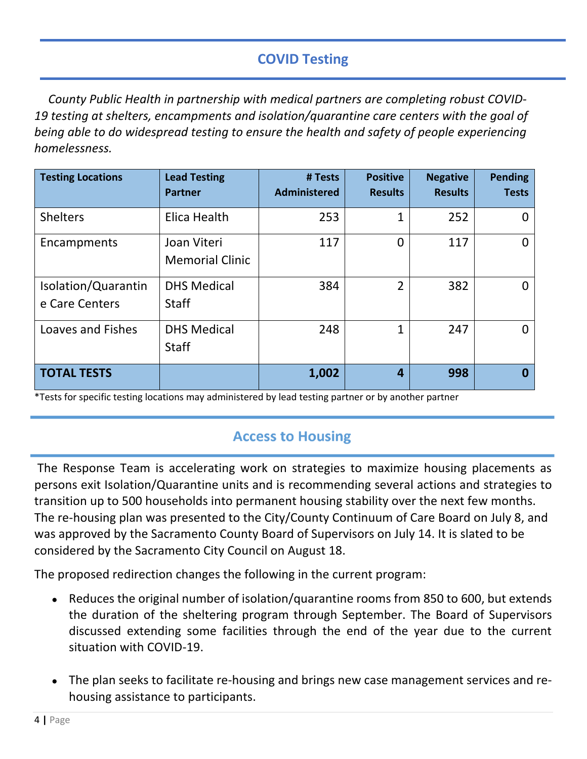# **COVID Testing**

*County Public Health in partnership with medical partners are completing robust COVID-19 testing at shelters, encampments and isolation/quarantine care centers with the goal of being able to do widespread testing to ensure the health and safety of people experiencing homelessness.* 

| <b>Testing Locations</b>              | <b>Lead Testing</b><br><b>Partner</b> | # Tests<br><b>Administered</b> | <b>Positive</b><br><b>Results</b> | <b>Negative</b><br><b>Results</b> | <b>Pending</b><br><b>Tests</b> |
|---------------------------------------|---------------------------------------|--------------------------------|-----------------------------------|-----------------------------------|--------------------------------|
| <b>Shelters</b>                       | Elica Health                          | 253                            | 1                                 | 252                               |                                |
| Encampments                           | Joan Viteri<br><b>Memorial Clinic</b> | 117                            | 0                                 | 117                               | 0                              |
| Isolation/Quarantin<br>e Care Centers | <b>DHS Medical</b><br><b>Staff</b>    | 384                            | $\overline{2}$                    | 382                               |                                |
| Loaves and Fishes                     | <b>DHS Medical</b><br><b>Staff</b>    | 248                            | 1                                 | 247                               | Ⴖ                              |
| <b>TOTAL TESTS</b>                    |                                       | 1,002                          | $\overline{a}$                    | 998                               | O                              |

\*Tests for specific testing locations may administered by lead testing partner or by another partner

# **Access to Housing**

The Response Team is accelerating work on strategies to maximize housing placements as persons exit Isolation/Quarantine units and is recommending several actions and strategies to transition up to 500 households into permanent housing stability over the next few months. The re-housing plan was presented to the City/County Continuum of Care Board on July 8, and was approved by the Sacramento County Board of Supervisors on July 14. It is slated to be considered by the Sacramento City Council on August 18.

The proposed redirection changes the following in the current program:

- Reduces the original number of isolation/quarantine rooms from 850 to 600, but extends the duration of the sheltering program through September. The Board of Supervisors discussed extending some facilities through the end of the year due to the current situation with COVID-19.
- The plan seeks to facilitate re-housing and brings new case management services and rehousing assistance to participants.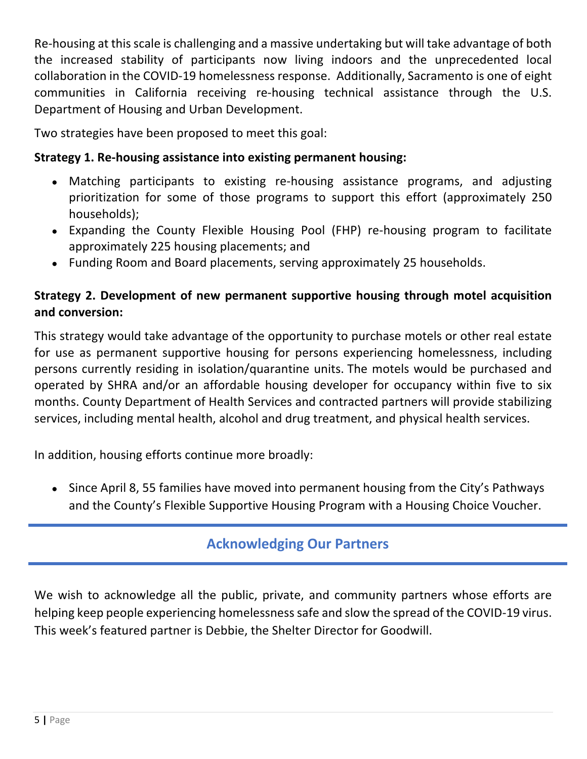Re-housing at this scale is challenging and a massive undertaking but will take advantage of both the increased stability of participants now living indoors and the unprecedented local collaboration in the COVID-19 homelessness response. Additionally, Sacramento is one of eight communities in California receiving re-housing technical assistance through the U.S. Department of Housing and Urban Development.

Two strategies have been proposed to meet this goal:

#### **Strategy 1. Re-housing assistance into existing permanent housing:**

- Matching participants to existing re-housing assistance programs, and adjusting prioritization for some of those programs to support this effort (approximately 250 households);
- Expanding the County Flexible Housing Pool (FHP) re-housing program to facilitate approximately 225 housing placements; and
- Funding Room and Board placements, serving approximately 25 households.

#### **Strategy 2. Development of new permanent supportive housing through motel acquisition and conversion:**

This strategy would take advantage of the opportunity to purchase motels or other real estate for use as permanent supportive housing for persons experiencing homelessness, including persons currently residing in isolation/quarantine units. The motels would be purchased and operated by SHRA and/or an affordable housing developer for occupancy within five to six months. County Department of Health Services and contracted partners will provide stabilizing services, including mental health, alcohol and drug treatment, and physical health services.

In addition, housing efforts continue more broadly:

• Since April 8, 55 families have moved into permanent housing from the City's Pathways and the County's Flexible Supportive Housing Program with a Housing Choice Voucher.

# **Acknowledging Our Partners**

We wish to acknowledge all the public, private, and community partners whose efforts are helping keep people experiencing homelessness safe and slow the spread of the COVID-19 virus. This week's featured partner is Debbie, the Shelter Director for Goodwill.